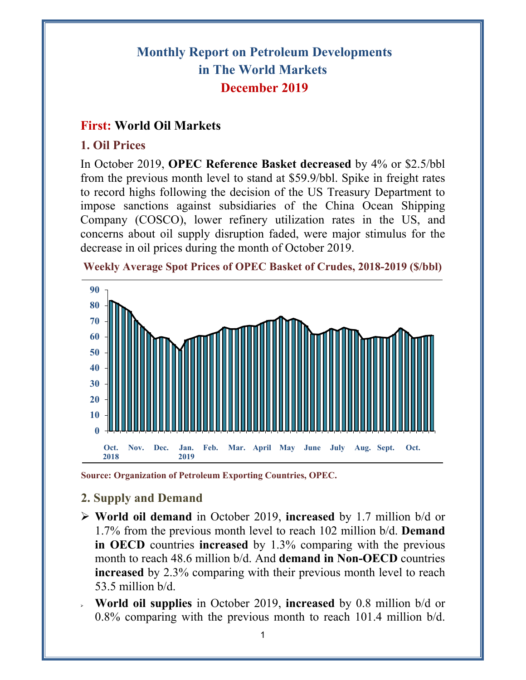# **Monthly Report on Petroleum Developments in The World Markets December 2019**

# **First: World Oil Markets**

### **1. Oil Prices**

In October 2019, **OPEC Reference Basket decreased** by 4% or \$2.5/bbl from the previous month level to stand at \$59.9/bbl. Spike in freight rates to record highs following the decision of the US Treasury Department to impose sanctions against subsidiaries of the China Ocean Shipping Company (COSCO), lower refinery utilization rates in the US, and concerns about oil supply disruption faded, were major stimulus for the decrease in oil prices during the month of October 2019.



**Weekly Average Spot Prices of OPEC Basket of Crudes, 2018-2019 (\$/bbl)**

**Source: Organization of Petroleum Exporting Countries, OPEC.** 

# **2. Supply and Demand**

- **World oil demand** in October 2019, **increased** by 1.7 million b/d or 1.7% from the previous month level to reach 102 million b/d. **Demand in OECD** countries **increased** by 1.3% comparing with the previous month to reach 48.6 million b/d. And **demand in Non-OECD** countries **increased** by 2.3% comparing with their previous month level to reach 53.5 million b/d.
- **World oil supplies** in October 2019, **increased** by 0.8 million b/d or 0.8% comparing with the previous month to reach 101.4 million b/d.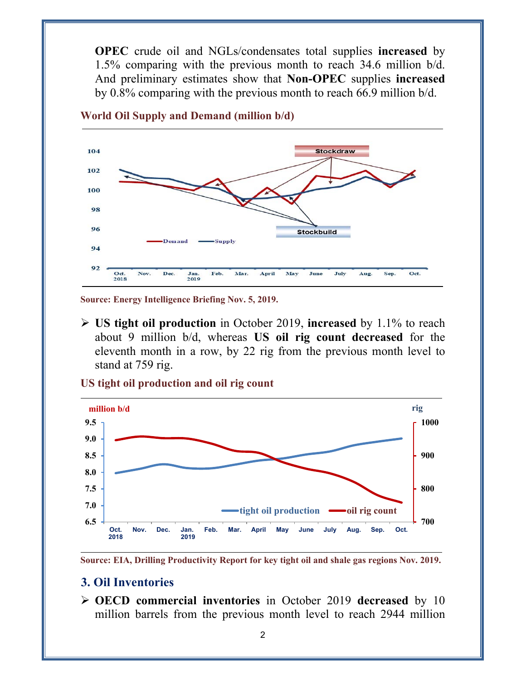**OPEC** crude oil and NGLs/condensates total supplies **increased** by 1.5% comparing with the previous month to reach 34.6 million b/d. And preliminary estimates show that **Non-OPEC** supplies **increased** by 0.8% comparing with the previous month to reach 66.9 million b/d.



**World Oil Supply and Demand (million b/d)** 

**Source: Energy Intelligence Briefing Nov. 5, 2019.** 

 **US tight oil production** in October 2019, **increased** by 1.1% to reach about 9 million b/d, whereas **US oil rig count decreased** for the eleventh month in a row, by 22 rig from the previous month level to stand at 759 rig.





**Source: EIA, Drilling Productivity Report for key tight oil and shale gas regions Nov. 2019.** 

#### **3. Oil Inventories**

 **OECD commercial inventories** in October 2019 **decreased** by 10 million barrels from the previous month level to reach 2944 million